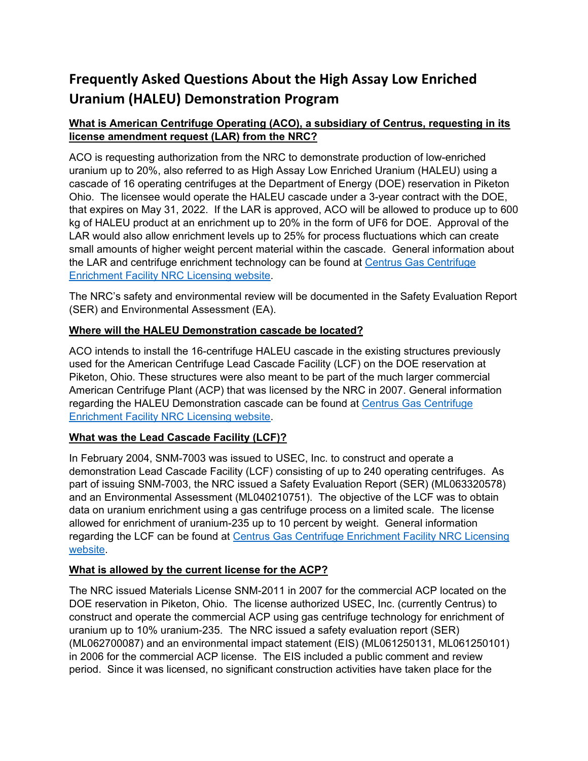# **Frequently Asked Questions About the High Assay Low Enriched Uranium (HALEU) Demonstration Program**

## **What is American Centrifuge Operating (ACO), a subsidiary of Centrus, requesting in its license amendment request (LAR) from the NRC?**

ACO is requesting authorization from the NRC to demonstrate production of low-enriched uranium up to 20%, also referred to as High Assay Low Enriched Uranium (HALEU) using a cascade of 16 operating centrifuges at the Department of Energy (DOE) reservation in Piketon Ohio. The licensee would operate the HALEU cascade under a 3-year contract with the DOE, that expires on May 31, 2022. If the LAR is approved, ACO will be allowed to produce up to 600 kg of HALEU product at an enrichment up to 20% in the form of UF6 for DOE. Approval of the LAR would also allow enrichment levels up to 25% for process fluctuations which can create small amounts of higher weight percent material within the cascade. General information about the LAR and centrifuge enrichment technology can be found at Centrus Gas Centrifuge Enrichment Facility NRC Licensing website.

The NRC's safety and environmental review will be documented in the Safety Evaluation Report (SER) and Environmental Assessment (EA).

### **Where will the HALEU Demonstration cascade be located?**

ACO intends to install the 16-centrifuge HALEU cascade in the existing structures previously used for the American Centrifuge Lead Cascade Facility (LCF) on the DOE reservation at Piketon, Ohio. These structures were also meant to be part of the much larger commercial American Centrifuge Plant (ACP) that was licensed by the NRC in 2007. General information regarding the HALEU Demonstration cascade can be found at Centrus Gas Centrifuge Enrichment Facility NRC Licensing website.

#### **What was the Lead Cascade Facility (LCF)?**

In February 2004, SNM-7003 was issued to USEC, Inc. to construct and operate a demonstration Lead Cascade Facility (LCF) consisting of up to 240 operating centrifuges. As part of issuing SNM-7003, the NRC issued a Safety Evaluation Report (SER) (ML063320578) and an Environmental Assessment (ML040210751). The objective of the LCF was to obtain data on uranium enrichment using a gas centrifuge process on a limited scale. The license allowed for enrichment of uranium-235 up to 10 percent by weight. General information regarding the LCF can be found at Centrus Gas Centrifuge Enrichment Facility NRC Licensing website.

### **What is allowed by the current license for the ACP?**

The NRC issued Materials License SNM-2011 in 2007 for the commercial ACP located on the DOE reservation in Piketon, Ohio. The license authorized USEC, Inc. (currently Centrus) to construct and operate the commercial ACP using gas centrifuge technology for enrichment of uranium up to 10% uranium-235. The NRC issued a safety evaluation report (SER) (ML062700087) and an environmental impact statement (EIS) (ML061250131, ML061250101) in 2006 for the commercial ACP license. The EIS included a public comment and review period. Since it was licensed, no significant construction activities have taken place for the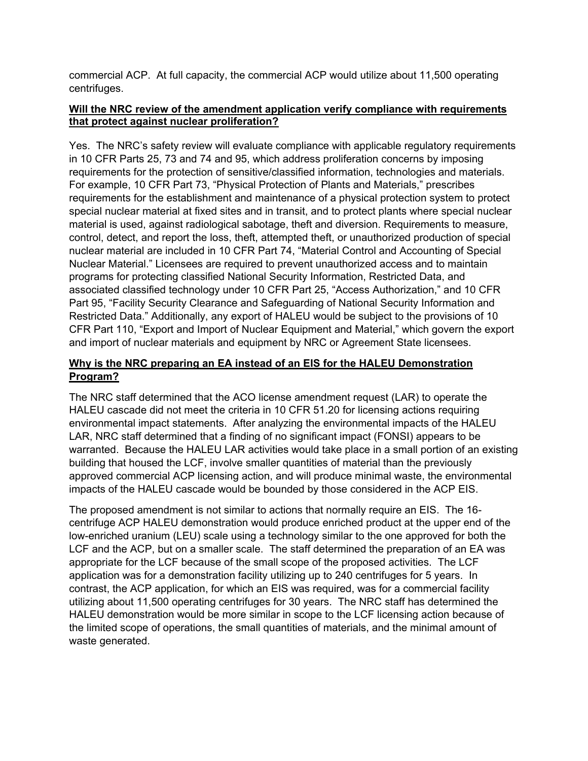commercial ACP. At full capacity, the commercial ACP would utilize about 11,500 operating centrifuges.

#### **Will the NRC review of the amendment application verify compliance with requirements that protect against nuclear proliferation?**

Yes. The NRC's safety review will evaluate compliance with applicable regulatory requirements in 10 CFR Parts 25, 73 and 74 and 95, which address proliferation concerns by imposing requirements for the protection of sensitive/classified information, technologies and materials. For example, 10 CFR Part 73, "Physical Protection of Plants and Materials," prescribes requirements for the establishment and maintenance of a physical protection system to protect special nuclear material at fixed sites and in transit, and to protect plants where special nuclear material is used, against radiological sabotage, theft and diversion. Requirements to measure, control, detect, and report the loss, theft, attempted theft, or unauthorized production of special nuclear material are included in 10 CFR Part 74, "Material Control and Accounting of Special Nuclear Material." Licensees are required to prevent unauthorized access and to maintain programs for protecting classified National Security Information, Restricted Data, and associated classified technology under 10 CFR Part 25, "Access Authorization," and 10 CFR Part 95, "Facility Security Clearance and Safeguarding of National Security Information and Restricted Data." Additionally, any export of HALEU would be subject to the provisions of 10 CFR Part 110, "Export and Import of Nuclear Equipment and Material," which govern the export and import of nuclear materials and equipment by NRC or Agreement State licensees.

## **Why is the NRC preparing an EA instead of an EIS for the HALEU Demonstration Program?**

The NRC staff determined that the ACO license amendment request (LAR) to operate the HALEU cascade did not meet the criteria in 10 CFR 51.20 for licensing actions requiring environmental impact statements. After analyzing the environmental impacts of the HALEU LAR, NRC staff determined that a finding of no significant impact (FONSI) appears to be warranted. Because the HALEU LAR activities would take place in a small portion of an existing building that housed the LCF, involve smaller quantities of material than the previously approved commercial ACP licensing action, and will produce minimal waste, the environmental impacts of the HALEU cascade would be bounded by those considered in the ACP EIS.

The proposed amendment is not similar to actions that normally require an EIS. The 16 centrifuge ACP HALEU demonstration would produce enriched product at the upper end of the low-enriched uranium (LEU) scale using a technology similar to the one approved for both the LCF and the ACP, but on a smaller scale. The staff determined the preparation of an EA was appropriate for the LCF because of the small scope of the proposed activities. The LCF application was for a demonstration facility utilizing up to 240 centrifuges for 5 years. In contrast, the ACP application, for which an EIS was required, was for a commercial facility utilizing about 11,500 operating centrifuges for 30 years. The NRC staff has determined the HALEU demonstration would be more similar in scope to the LCF licensing action because of the limited scope of operations, the small quantities of materials, and the minimal amount of waste generated.